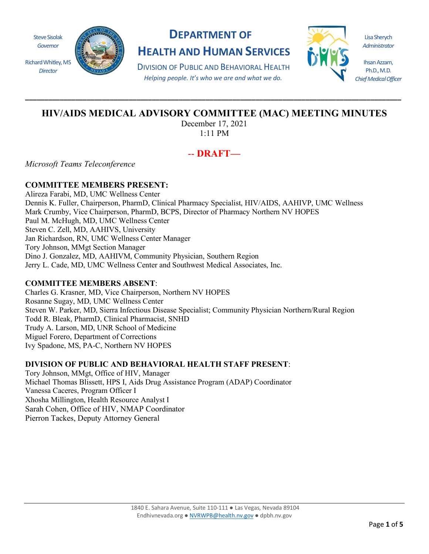

## **DEPARTMENT OF HEALTH AND HUMAN SERVICES**

DIVISION OF PUBLIC AND BEHAVIORAL HEALTH *Helping people. It's who we are and what we do.*



Lisa Sherych *Administrator*

Ihsan Azzam, Ph.D., M.D. *Chief Medical Officer*

# **HIV/AIDS MEDICAL ADVISORY COMMITTEE (MAC) MEETING MINUTES**

**\_\_\_\_\_\_\_\_\_\_\_\_\_\_\_\_\_\_\_\_\_\_\_\_\_\_\_\_\_\_\_\_\_\_\_\_\_\_\_\_\_\_\_\_\_\_\_\_\_\_\_\_\_\_\_\_\_\_\_\_\_\_\_\_\_\_\_\_\_\_\_\_\_\_\_\_\_\_\_\_\_\_\_\_\_\_\_\_\_\_\_\_\_\_\_\_\_\_**

December 17, 2021 1:11 PM

### -- **DRAFT—**

*Microsoft Teams Teleconference*

### **COMMITTEE MEMBERS PRESENT:**

Alireza Farabi, MD, UMC Wellness Center Dennis K. Fuller, Chairperson, PharmD, Clinical Pharmacy Specialist, HIV/AIDS, AAHIVP, UMC Wellness Mark Crumby, Vice Chairperson, PharmD, BCPS, Director of Pharmacy Northern NV HOPES Paul M. McHugh, MD, UMC Wellness Center Steven C. Zell, MD, AAHIVS, University Jan Richardson, RN, UMC Wellness Center Manager Tory Johnson, MMgt Section Manager Dino J. Gonzalez, MD, AAHIVM, Community Physician, Southern Region Jerry L. Cade, MD, UMC Wellness Center and Southwest Medical Associates, Inc.

#### **COMMITTEE MEMBERS ABSENT**:

Charles G. Krasner, MD, Vice Chairperson, Northern NV HOPES Rosanne Sugay, MD, UMC Wellness Center Steven W. Parker, MD, Sierra Infectious Disease Specialist; Community Physician Northern/Rural Region Todd R. Bleak, PharmD, Clinical Pharmacist, SNHD Trudy A. Larson, MD, UNR School of Medicine Miguel Forero, Department of Corrections Ivy Spadone, MS, PA-C, Northern NV HOPES

#### **DIVISION OF PUBLIC AND BEHAVIORAL HEALTH STAFF PRESENT**:

Tory Johnson, MMgt, Office of HIV, Manager Michael Thomas Blissett, HPS I, Aids Drug Assistance Program (ADAP) Coordinator Vanessa Caceres, Program Officer I Xhosha Millington, Health Resource Analyst I Sarah Cohen, Office of HIV, NMAP Coordinator Pierron Tackes, Deputy Attorney General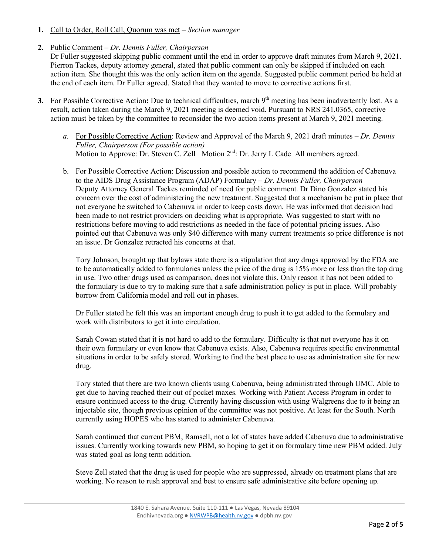**1.** Call to Order, Roll Call, Quorum was met – *Section manager*

#### **2.** Public Comment – *Dr. Dennis Fuller, Chairperson*

Dr Fuller suggested skipping public comment until the end in order to approve draft minutes from March 9, 2021. Pierron Tackes, deputy attorney general, stated that public comment can only be skipped if included on each action item. She thought this was the only action item on the agenda. Suggested public comment period be held at the end of each item. Dr Fuller agreed. Stated that they wanted to move to corrective actions first.

- **3.** For Possible Corrective Action: Due to technical difficulties, march 9<sup>th</sup> meeting has been inadvertently lost. As a result, action taken during the March 9, 2021 meeting is deemed void. Pursuant to NRS 241.0365, corrective action must be taken by the committee to reconsider the two action items present at March 9, 2021 meeting.
	- *a.* For Possible Corrective Action: Review and Approval of the March 9, 2021 draft minutes *Dr. Dennis Fuller, Chairperson (For possible action)*  Motion to Approve: Dr. Steven C. Zell Motion 2<sup>nd</sup>: Dr. Jerry L Cade All members agreed.
	- b. For Possible Corrective Action: Discussion and possible action to recommend the addition of Cabenuva to the AIDS Drug Assistance Program (ADAP) Formulary – *Dr. Dennis Fuller, Chairperson* Deputy Attorney General Tackes reminded of need for public comment. Dr Dino Gonzalez stated his concern over the cost of administering the new treatment. Suggested that a mechanism be put in place that not everyone be switched to Cabenuva in order to keep costs down. He was informed that decision had been made to not restrict providers on deciding what is appropriate. Was suggested to start with no restrictions before moving to add restrictions as needed in the face of potential pricing issues. Also pointed out that Cabenuva was only \$40 difference with many current treatments so price difference is not an issue. Dr Gonzalez retracted his concerns at that.

Tory Johnson, brought up that bylaws state there is a stipulation that any drugs approved by the FDA are to be automatically added to formularies unless the price of the drug is 15% more or less than the top drug in use. Two other drugs used as comparison, does not violate this. Only reason it has not been added to the formulary is due to try to making sure that a safe administration policy is put in place. Will probably borrow from California model and roll out in phases.

Dr Fuller stated he felt this was an important enough drug to push it to get added to the formulary and work with distributors to get it into circulation.

Sarah Cowan stated that it is not hard to add to the formulary. Difficulty is that not everyone has it on their own formulary or even know that Cabenuva exists. Also, Cabenuva requires specific environmental situations in order to be safely stored. Working to find the best place to use as administration site for new drug.

Tory stated that there are two known clients using Cabenuva, being administrated through UMC. Able to get due to having reached their out of pocket maxes. Working with Patient Access Program in order to ensure continued access to the drug. Currently having discussion with using Walgreens due to it being an injectable site, though previous opinion of the committee was not positive. At least for the South. North currently using HOPES who has started to administer Cabenuva.

Sarah continued that current PBM, Ramsell, not a lot of states have added Cabenuva due to administrative issues. Currently working towards new PBM, so hoping to get it on formulary time new PBM added. July was stated goal as long term addition.

Steve Zell stated that the drug is used for people who are suppressed, already on treatment plans that are working. No reason to rush approval and best to ensure safe administrative site before opening up.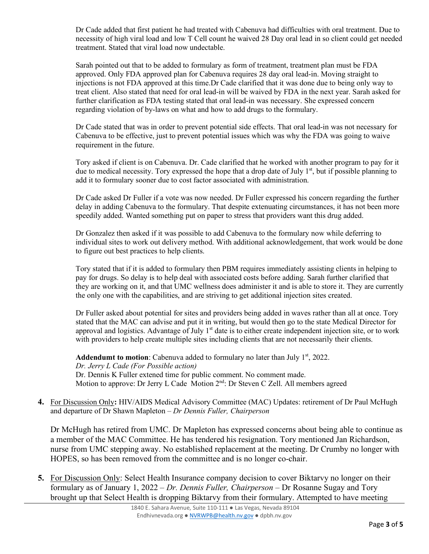Dr Cade added that first patient he had treated with Cabenuva had difficulties with oral treatment. Due to necessity of high viral load and low T Cell count he waived 28 Day oral lead in so client could get needed treatment. Stated that viral load now undectable.

Sarah pointed out that to be added to formulary as form of treatment, treatment plan must be FDA approved. Only FDA approved plan for Cabenuva requires 28 day oral lead-in. Moving straight to injections is not FDA approved at this time.Dr Cade clarified that it was done due to being only way to treat client. Also stated that need for oral lead-in will be waived by FDA in the next year. Sarah asked for further clarification as FDA testing stated that oral lead-in was necessary. She expressed concern regarding violation of by-laws on what and how to add drugs to the formulary.

Dr Cade stated that was in order to prevent potential side effects. That oral lead-in was not necessary for Cabenuva to be effective, just to prevent potential issues which was why the FDA was going to waive requirement in the future.

Tory asked if client is on Cabenuva. Dr. Cade clarified that he worked with another program to pay for it due to medical necessity. Tory expressed the hope that a drop date of July  $1<sup>st</sup>$ , but if possible planning to add it to formulary sooner due to cost factor associated with administration.

Dr Cade asked Dr Fuller if a vote was now needed. Dr Fuller expressed his concern regarding the further delay in adding Cabenuva to the formulary. That despite extenuating circumstances, it has not been more speedily added. Wanted something put on paper to stress that providers want this drug added.

Dr Gonzalez then asked if it was possible to add Cabenuva to the formulary now while deferring to individual sites to work out delivery method. With additional acknowledgement, that work would be done to figure out best practices to help clients.

Tory stated that if it is added to formulary then PBM requires immediately assisting clients in helping to pay for drugs. So delay is to help deal with associated costs before adding. Sarah further clarified that they are working on it, and that UMC wellness does administer it and is able to store it. They are currently the only one with the capabilities, and are striving to get additional injection sites created.

Dr Fuller asked about potential for sites and providers being added in waves rather than all at once. Tory stated that the MAC can advise and put it in writing, but would then go to the state Medical Director for approval and logistics. Advantage of July  $1<sup>st</sup>$  date is to either create independent injection site, or to work with providers to help create multiple sites including clients that are not necessarily their clients.

Addendumt to motion: Cabenuva added to formulary no later than July 1<sup>st</sup>, 2022. *Dr. Jerry L Cade (For Possible action)* Dr. Dennis K Fuller extened time for public comment. No comment made. Motion to approve: Dr Jerry L Cade Motion 2<sup>nd</sup>: Dr Steven C Zell. All members agreed

**4.** For Discussion Only**:** HIV/AIDS Medical Advisory Committee (MAC) Updates: retirement of Dr Paul McHugh and departure of Dr Shawn Mapleton – *Dr Dennis Fuller, Chairperson*

Dr McHugh has retired from UMC. Dr Mapleton has expressed concerns about being able to continue as a member of the MAC Committee. He has tendered his resignation. Tory mentioned Jan Richardson, nurse from UMC stepping away. No established replacement at the meeting. Dr Crumby no longer with HOPES, so has been removed from the committee and is no longer co-chair.

**5.** For Discussion Only: Select Health Insurance company decision to cover Biktarvy no longer on their formulary as of January 1, 2022 – *Dr. Dennis Fuller, Chairperson* – Dr Rosanne Sugay and Tory brought up that Select Health is dropping Biktarvy from their formulary. Attempted to have meeting